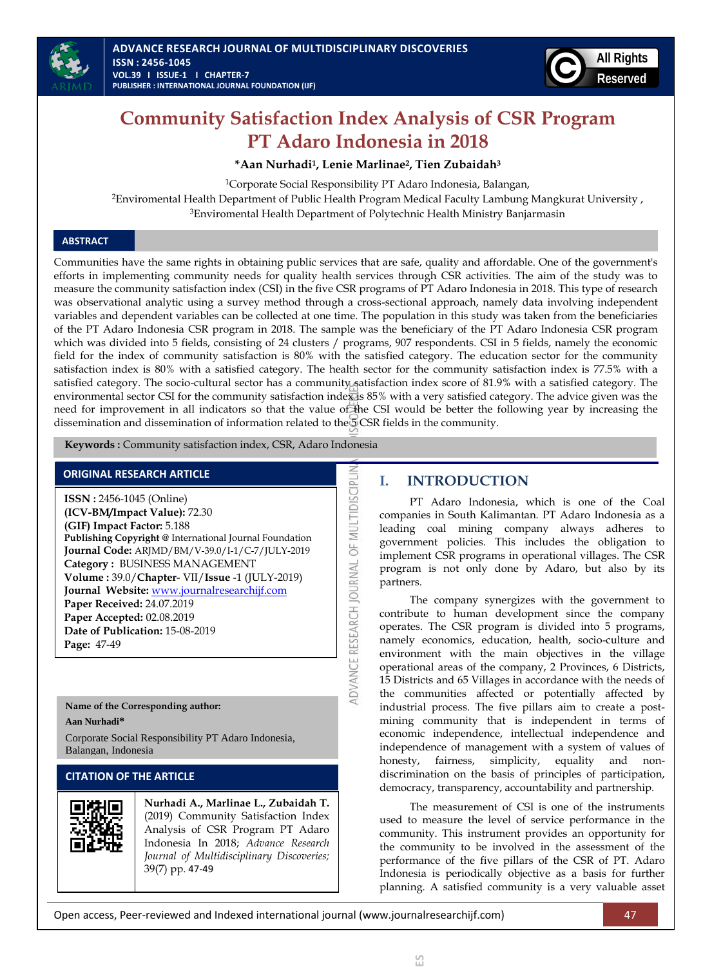



# **Community Satisfaction Index Analysis of CSR Program PT Adaro Indonesia in 2018**

### **\*Aan Nurhadi<sup>1</sup> , Lenie Marlinae<sup>2</sup> , Tien Zubaidah<sup>3</sup>**

<sup>1</sup>Corporate Social Responsibility PT Adaro Indonesia, Balangan,

<sup>2</sup>Enviromental Health Department of Public Health Program Medical Faculty Lambung Mangkurat University , <sup>3</sup>Enviromental Health Department of Polytechnic Health Ministry Banjarmasin

#### **ABSTRACT**

Communities have the same rights in obtaining public services that are safe, quality and affordable. One of the government's efforts in implementing community needs for quality health services through CSR activities. The aim of the study was to measure the community satisfaction index (CSI) in the five CSR programs of PT Adaro Indonesia in 2018. This type of research was observational analytic using a survey method through a cross-sectional approach, namely data involving independent variables and dependent variables can be collected at one time. The population in this study was taken from the beneficiaries of the PT Adaro Indonesia CSR program in 2018. The sample was the beneficiary of the PT Adaro Indonesia CSR program which was divided into 5 fields, consisting of 24 clusters / programs, 907 respondents. CSI in 5 fields, namely the economic field for the index of community satisfaction is 80% with the satisfied category. The education sector for the community satisfaction index is 80% with a satisfied category. The health sector for the community satisfaction index is 77.5% with a satisfied category. The socio-cultural sector has a community satisfaction index score of 81.9% with a satisfied category. The environmental sector CSI for the community satisfaction index is 85% with a very satisfied category. The advice given was the need for improvement in all indicators so that the value of the CSI would be better the following year by increasing the dissemination and dissemination of information related to the 5 CSR fields in the community.

ADVANCE RESEARCH JOURNAL OF MULTIDISCIPLIN

 **Keywords :** Community satisfaction index, CSR, Adaro Indonesia

#### **ORIGINAL RESEARCH ARTICLE**

**ISSN :** 2456-1045 (Online) **(ICV-BM/Impact Value):** 72.30 **(GIF) Impact Factor:** 5.188 **Publishing Copyright @** International Journal Foundation **Journal Code:** ARJMD/BM/V-39.0/I-1/C-7/JULY-2019 **Category :** BUSINESS MANAGEMENT **Volume :** 39.0/**Chapter**- VII/**Issue** -1 (JULY-2019) **Journal Website:** [www.journalresearchijf.com](http://www.journalresearchijf.com/) **Paper Received:** 24.07.2019 **Paper Accepted:** 02.08.2019 **Date of Publication:** 15-08-2019 **Page:** 47-49

**Name of the Corresponding author: Aan Nurhadi\***

Corporate Social Responsibility PT Adaro Indonesia, Balangan, Indonesia

### **CITATION OF THE ARTICLE**



**Nurhadi A., Marlinae L., Zubaidah T.** (2019) Community Satisfaction Index Analysis of CSR Program PT Adaro Indonesia In 2018; *Advance Research Journal of Multidisciplinary Discoveries;* 39(7) pp. 47-49

### **I. INTRODUCTION**

PT Adaro Indonesia, which is one of the Coal companies in South Kalimantan. PT Adaro Indonesia as a leading coal mining company always adheres to government policies. This includes the obligation to implement CSR programs in operational villages. The CSR program is not only done by Adaro, but also by its partners.

The company synergizes with the government to contribute to human development since the company operates. The CSR program is divided into 5 programs, namely economics, education, health, socio-culture and environment with the main objectives in the village operational areas of the company, 2 Provinces, 6 Districts, 15 Districts and 65 Villages in accordance with the needs of the communities affected or potentially affected by industrial process. The five pillars aim to create a postmining community that is independent in terms of economic independence, intellectual independence and independence of management with a system of values of honesty, fairness, simplicity, equality and nondiscrimination on the basis of principles of participation, democracy, transparency, accountability and partnership.

The measurement of CSI is one of the instruments used to measure the level of service performance in the community. This instrument provides an opportunity for the community to be involved in the assessment of the performance of the five pillars of the CSR of PT. Adaro Indonesia is periodically objective as a basis for further planning. A satisfied community is a very valuable asset

Open access, Peer-reviewed and Indexed international journal (www.journalresearchijf.com) 47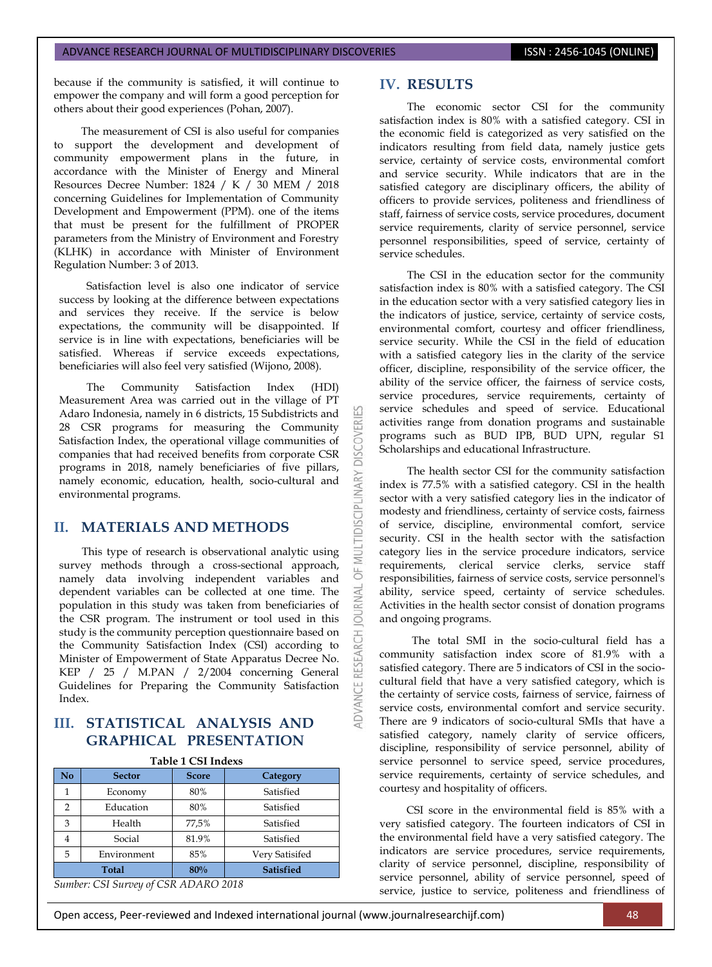because if the community is satisfied, it will continue to empower the company and will form a good perception for others about their good experiences (Pohan, 2007).

The measurement of CSI is also useful for companies to support the development and development of community empowerment plans in the future, in accordance with the Minister of Energy and Mineral Resources Decree Number: 1824 / K / 30 MEM / 2018 concerning Guidelines for Implementation of Community Development and Empowerment (PPM). one of the items that must be present for the fulfillment of PROPER parameters from the Ministry of Environment and Forestry (KLHK) in accordance with Minister of Environment Regulation Number: 3 of 2013.

Satisfaction level is also one indicator of service success by looking at the difference between expectations and services they receive. If the service is below expectations, the community will be disappointed. If service is in line with expectations, beneficiaries will be satisfied. Whereas if service exceeds expectations, beneficiaries will also feel very satisfied (Wijono, 2008).

The Community Satisfaction Index (HDI) Measurement Area was carried out in the village of PT Adaro Indonesia, namely in 6 districts, 15 Subdistricts and 28 CSR programs for measuring the Community Satisfaction Index, the operational village communities of companies that had received benefits from corporate CSR programs in 2018, namely beneficiaries of five pillars, namely economic, education, health, socio-cultural and environmental programs.

### **II. MATERIALS AND METHODS**

This type of research is observational analytic using survey methods through a cross-sectional approach, namely data involving independent variables and dependent variables can be collected at one time. The population in this study was taken from beneficiaries of the CSR program. The instrument or tool used in this study is the community perception questionnaire based on the Community Satisfaction Index (CSI) according to Minister of Empowerment of State Apparatus Decree No. KEP / 25 / M.PAN / 2/2004 concerning General Guidelines for Preparing the Community Satisfaction Index.

## **III. STATISTICAL ANALYSIS AND GRAPHICAL PRESENTATION**

| Table 1 CSI Indexs |               |              |                |
|--------------------|---------------|--------------|----------------|
| No                 | <b>Sector</b> | <b>Score</b> | Category       |
|                    | Economy       | 80%          | Satisfied      |
| 2                  | Education     | 80%          | Satisfied      |
| 3                  | Health        | 77,5%        | Satisfied      |
| 4                  | Social        | 81.9%        | Satisfied      |
| 5                  | Environment   | 85%          | Very Satisifed |
|                    | <b>Total</b>  | 80%          | Satisfied      |

### *Sumber: CSI Survey of CSR ADARO 2018*

**IV. RESULTS** 

**DISCOVERI** 

INARY

**IDISCIPL** 

5F **JRNAL**  $\overline{a}$ 

The economic sector CSI for the community satisfaction index is 80% with a satisfied category. CSI in the economic field is categorized as very satisfied on the indicators resulting from field data, namely justice gets service, certainty of service costs, environmental comfort and service security. While indicators that are in the satisfied category are disciplinary officers, the ability of officers to provide services, politeness and friendliness of staff, fairness of service costs, service procedures, document service requirements, clarity of service personnel, service personnel responsibilities, speed of service, certainty of service schedules.

The CSI in the education sector for the community satisfaction index is 80% with a satisfied category. The CSI in the education sector with a very satisfied category lies in the indicators of justice, service, certainty of service costs, environmental comfort, courtesy and officer friendliness, service security. While the CSI in the field of education with a satisfied category lies in the clarity of the service officer, discipline, responsibility of the service officer, the ability of the service officer, the fairness of service costs, service procedures, service requirements, certainty of service schedules and speed of service. Educational activities range from donation programs and sustainable programs such as BUD IPB, BUD UPN, regular S1 Scholarships and educational Infrastructure.

The health sector CSI for the community satisfaction index is 77.5% with a satisfied category. CSI in the health sector with a very satisfied category lies in the indicator of modesty and friendliness, certainty of service costs, fairness of service, discipline, environmental comfort, service security. CSI in the health sector with the satisfaction category lies in the service procedure indicators, service requirements, clerical service clerks, service staff responsibilities, fairness of service costs, service personnel's ability, service speed, certainty of service schedules. Activities in the health sector consist of donation programs and ongoing programs.

The total SMI in the socio-cultural field has a community satisfaction index score of 81.9% with a satisfied category. There are 5 indicators of CSI in the sociocultural field that have a very satisfied category, which is the certainty of service costs, fairness of service, fairness of service costs, environmental comfort and service security. There are 9 indicators of socio-cultural SMIs that have a satisfied category, namely clarity of service officers, discipline, responsibility of service personnel, ability of service personnel to service speed, service procedures, service requirements, certainty of service schedules, and courtesy and hospitality of officers.

CSI score in the environmental field is 85% with a very satisfied category. The fourteen indicators of CSI in the environmental field have a very satisfied category. The indicators are service procedures, service requirements, clarity of service personnel, discipline, responsibility of service personnel, ability of service personnel, speed of service, justice to service, politeness and friendliness of